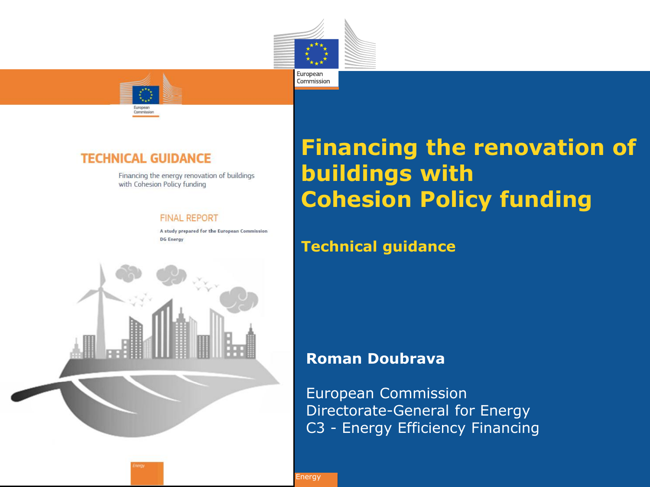

Commission



### **TECHNICAL GUIDANCE**

Financing the energy renovation of buildings with Cohesion Policy funding

#### **FINAL REPORT**

A study prepared for the European Commission **DG Energy** 



## **Financing the renovation of buildings with Cohesion Policy funding**

### **Technical guidance**

### **Roman Doubrava**

European Commission Directorate-General for Energy C3 - Energy Efficiency Financing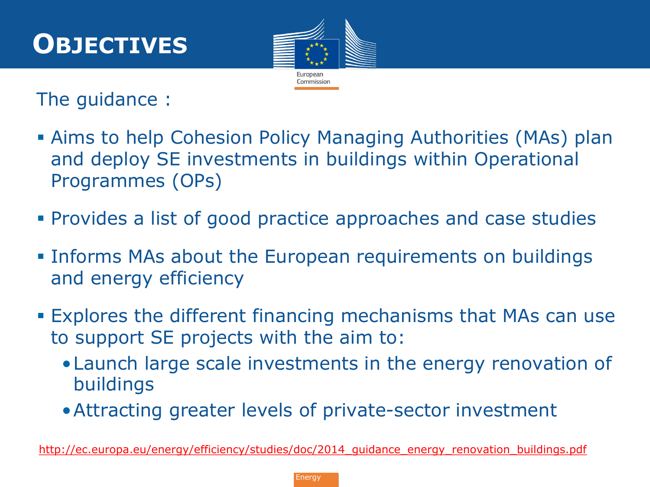# **OBJECTIVES**



The guidance :

- Aims to help Cohesion Policy Managing Authorities (MAs) plan and deploy SE investments in buildings within Operational Programmes (OPs)
- Provides a list of good practice approaches and case studies
- **Informs MAs about the European requirements on buildings** and energy efficiency
- Explores the different financing mechanisms that MAs can use to support SE projects with the aim to:
	- •Launch large scale investments in the energy renovation of buildings
	- •Attracting greater levels of private-sector investment

http://ec.europa.eu/energy/efficiency/studies/doc/2014 guidance energy renovation buildings.pdf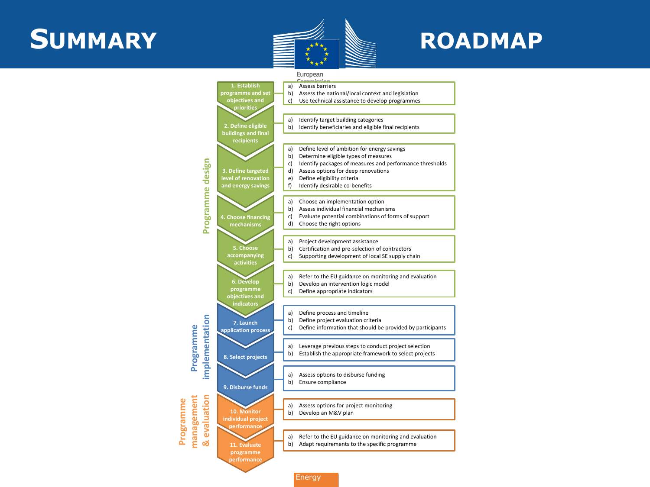## SUMMARY **EXACUSE ROADMAP**



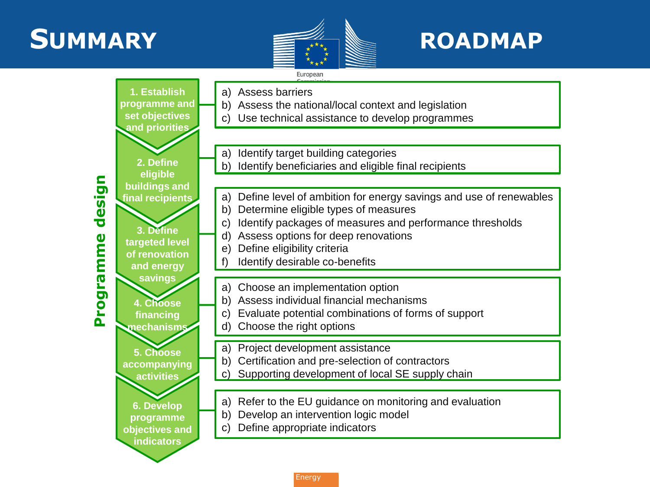## **SUMMARY ROADMAP**



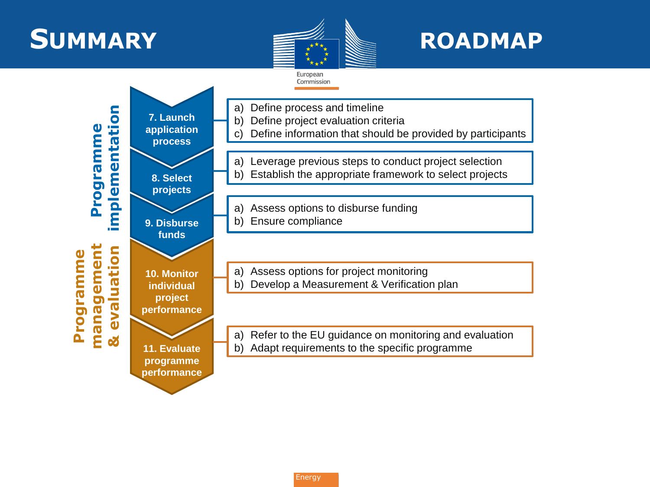## **SUMMARY EXACUSE ROADMAP**



European Commission

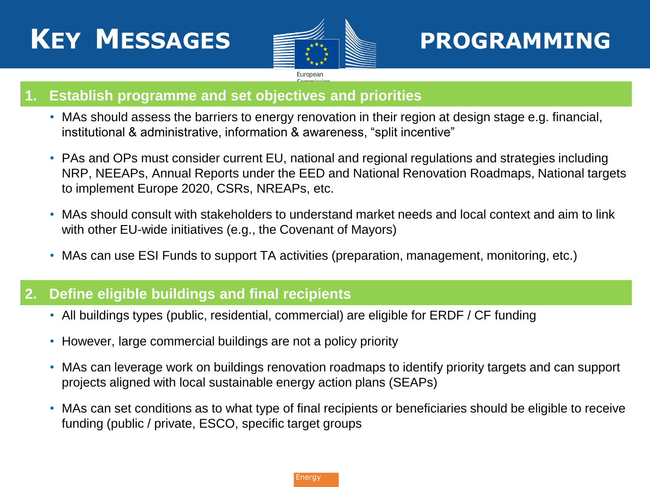# **KEY MESSAGES PROGRAMMING**



### **1. Establish programme and set objectives and priorities**

- MAs should assess the barriers to energy renovation in their region at design stage e.g. financial, institutional & administrative, information & awareness, "split incentive"
- PAs and OPs must consider current EU, national and regional regulations and strategies including NRP, NEEAPs, Annual Reports under the EED and National Renovation Roadmaps, National targets to implement Europe 2020, CSRs, NREAPs, etc.
- MAs should consult with stakeholders to understand market needs and local context and aim to link with other EU-wide initiatives (e.g., the Covenant of Mayors)
- MAs can use ESI Funds to support TA activities (preparation, management, monitoring, etc.)

#### **2. Define eligible buildings and final recipients**

- All buildings types (public, residential, commercial) are eligible for ERDF / CF funding
- However, large commercial buildings are not a policy priority
- MAs can leverage work on buildings renovation roadmaps to identify priority targets and can support projects aligned with local sustainable energy action plans (SEAPs)
- MAs can set conditions as to what type of final recipients or beneficiaries should be eligible to receive funding (public / private, ESCO, specific target groups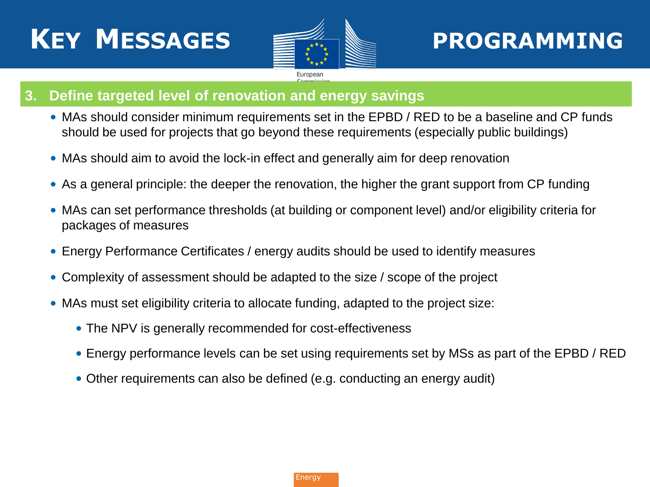

## **PROGRAMMING**

### **3. Define targeted level of renovation and energy savings**

- MAs should consider minimum requirements set in the EPBD / RED to be a baseline and CP funds should be used for projects that go beyond these requirements (especially public buildings)
- MAs should aim to avoid the lock-in effect and generally aim for deep renovation
- As a general principle: the deeper the renovation, the higher the grant support from CP funding
- MAs can set performance thresholds (at building or component level) and/or eligibility criteria for packages of measures
- Energy Performance Certificates / energy audits should be used to identify measures
- Complexity of assessment should be adapted to the size / scope of the project
- MAs must set eligibility criteria to allocate funding, adapted to the project size:
	- The NPV is generally recommended for cost-effectiveness
	- Energy performance levels can be set using requirements set by MSs as part of the EPBD / RED
	- Other requirements can also be defined (e.g. conducting an energy audit)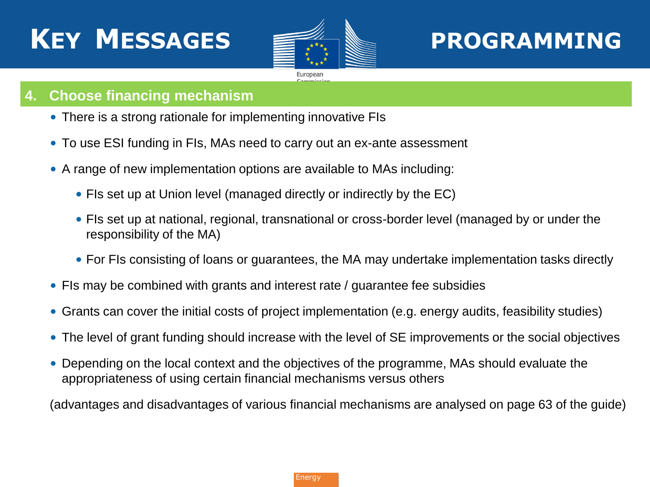

## **PROGRAMMING**

### **4. Choose financing mechanism**

- There is a strong rationale for implementing innovative FIs
- To use ESI funding in FIs, MAs need to carry out an ex-ante assessment
- A range of new implementation options are available to MAs including:
	- FIs set up at Union level (managed directly or indirectly by the EC)
	- FIs set up at national, regional, transnational or cross-border level (managed by or under the responsibility of the MA)
	- For FIs consisting of loans or guarantees, the MA may undertake implementation tasks directly
- FIs may be combined with grants and interest rate / guarantee fee subsidies
- Grants can cover the initial costs of project implementation (e.g. energy audits, feasibility studies)
- The level of grant funding should increase with the level of SE improvements or the social objectives
- Depending on the local context and the objectives of the programme, MAs should evaluate the appropriateness of using certain financial mechanisms versus others

(advantages and disadvantages of various financial mechanisms are analysed on page 63 of the guide)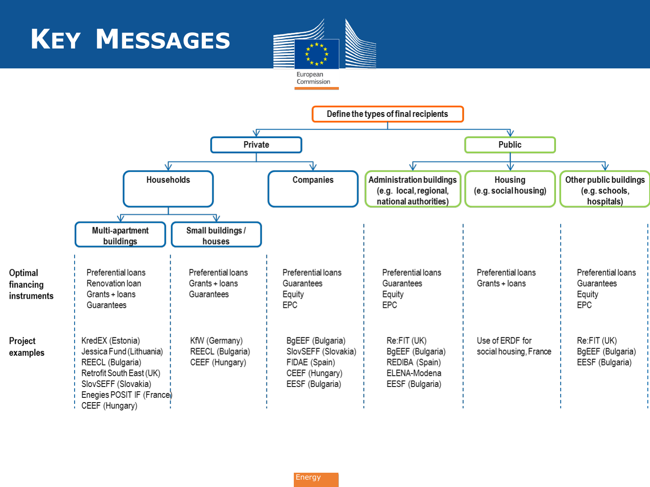

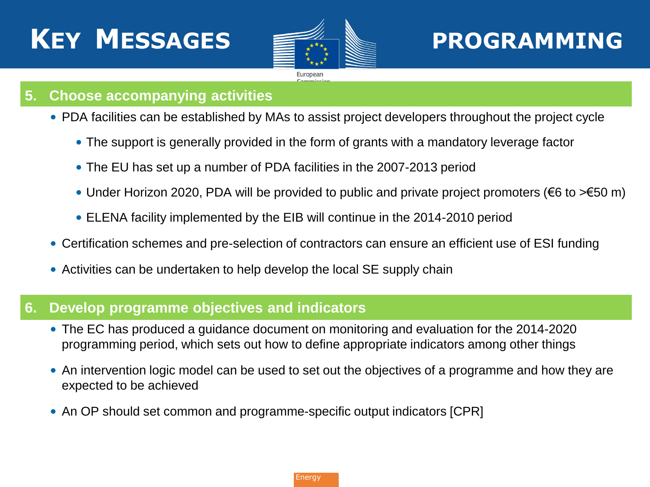

## **PROGRAMMING**

### **5. Choose accompanying activities**

- PDA facilities can be established by MAs to assist project developers throughout the project cycle
	- The support is generally provided in the form of grants with a mandatory leverage factor
	- The EU has set up a number of PDA facilities in the 2007-2013 period
	- Under Horizon 2020, PDA will be provided to public and private project promoters (€6 to >€50 m)
	- ELENA facility implemented by the EIB will continue in the 2014-2010 period
- Certification schemes and pre-selection of contractors can ensure an efficient use of ESI funding
- Activities can be undertaken to help develop the local SE supply chain

### **6. Develop programme objectives and indicators**

- The EC has produced a guidance document on monitoring and evaluation for the 2014-2020 programming period, which sets out how to define appropriate indicators among other things
- An intervention logic model can be used to set out the objectives of a programme and how they are expected to be achieved
- An OP should set common and programme-specific output indicators [CPR]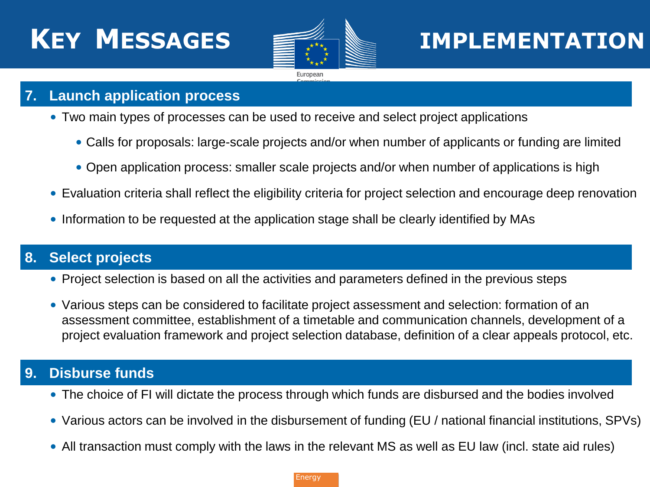

### **KEY MESSAGES IMPLEMENTATION**

### **7. Launch application process**

- Two main types of processes can be used to receive and select project applications
	- Calls for proposals: large-scale projects and/or when number of applicants or funding are limited
	- Open application process: smaller scale projects and/or when number of applications is high
- Evaluation criteria shall reflect the eligibility criteria for project selection and encourage deep renovation
- Information to be requested at the application stage shall be clearly identified by MAs

### **8. Select projects**

- Project selection is based on all the activities and parameters defined in the previous steps
- Various steps can be considered to facilitate project assessment and selection: formation of an assessment committee, establishment of a timetable and communication channels, development of a project evaluation framework and project selection database, definition of a clear appeals protocol, etc.

### **9. Disburse funds**

- The choice of FI will dictate the process through which funds are disbursed and the bodies involved
- Various actors can be involved in the disbursement of funding (EU / national financial institutions, SPVs)
- All transaction must comply with the laws in the relevant MS as well as EU law (incl. state aid rules)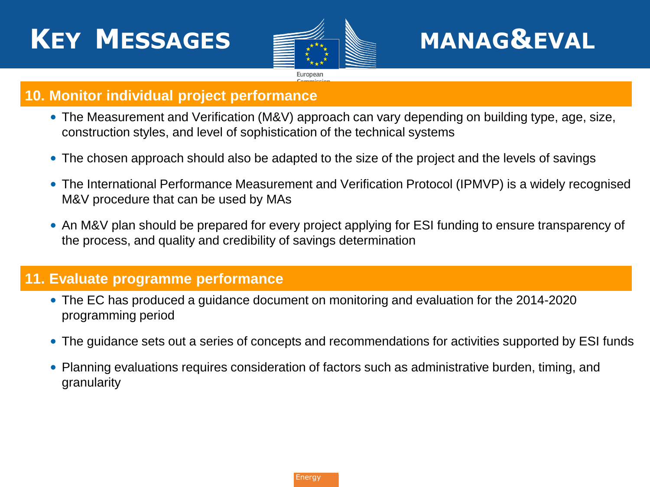# **KEY MESSAGES MANAG&EVAL**



### **10. Monitor individual project performance**

- The Measurement and Verification (M&V) approach can vary depending on building type, age, size, construction styles, and level of sophistication of the technical systems
- The chosen approach should also be adapted to the size of the project and the levels of savings
- The International Performance Measurement and Verification Protocol (IPMVP) is a widely recognised M&V procedure that can be used by MAs
- An M&V plan should be prepared for every project applying for ESI funding to ensure transparency of the process, and quality and credibility of savings determination

### **11. Evaluate programme performance**

- The EC has produced a guidance document on monitoring and evaluation for the 2014-2020 programming period
- The guidance sets out a series of concepts and recommendations for activities supported by ESI funds
- Planning evaluations requires consideration of factors such as administrative burden, timing, and granularity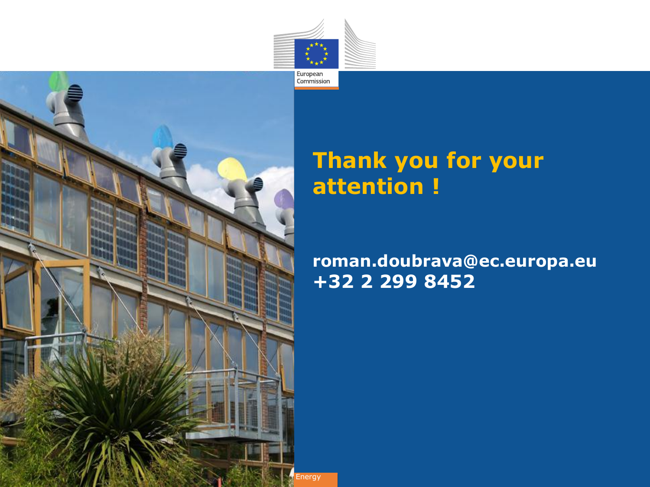



### **Thank you for your attention !**

### **roman.doubrava@ec.europa.eu +32 2 299 8452**